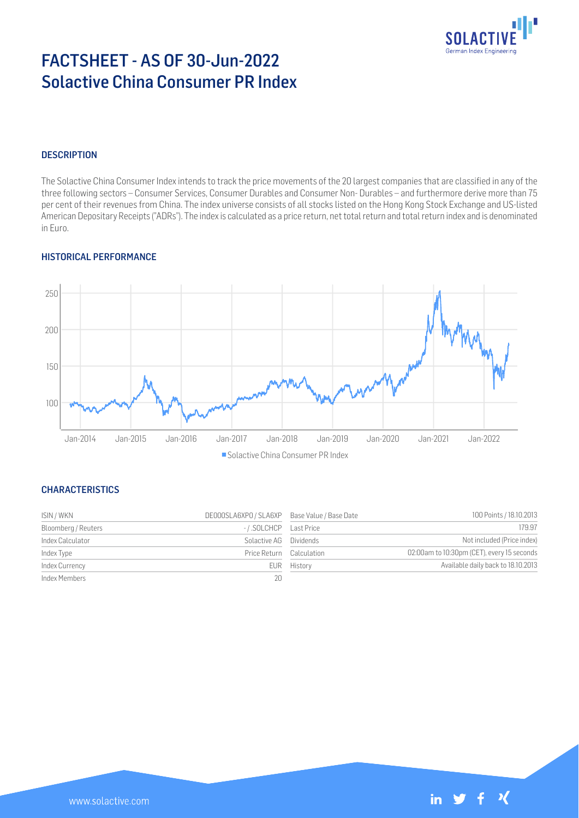

# FACTSHEET - AS OF 30-Jun-2022 Solactive China Consumer PR Index

## **DESCRIPTION**

The Solactive China Consumer Index intends to track the price movements of the 20 largest companies that are classified in any of the three following sectors – Consumer Services, Consumer Durables and Consumer Non- Durables – and furthermore derive more than 75 per cent of their revenues from China. The index universe consists of all stocks listed on the Hong Kong Stock Exchange and US-listed American Depositary Receipts ("ADRs"). The index is calculated as a price return, net total return and total return index and is denominated in Euro.

## HISTORICAL PERFORMANCE



**Solactive China Consumer PR Index** 

## **CHARACTERISTICS**

| ISIN / WKN          | DE000SLA6XPO / SLA6XP Base Value / Base Date |             | 100 Points / 18.10.2013                    |
|---------------------|----------------------------------------------|-------------|--------------------------------------------|
| Bloomberg / Reuters |                                              |             | 179.97                                     |
| Index Calculator    | Solactive AG Dividends                       |             | Not included (Price index)                 |
| Index Type          | Price Return Calculation                     |             | 02:00am to 10:30pm (CET), every 15 seconds |
| Index Currency      |                                              | EUR History | Available daily back to 18.10.2013         |
| Index Members       | 20 <sup>°</sup>                              |             |                                            |

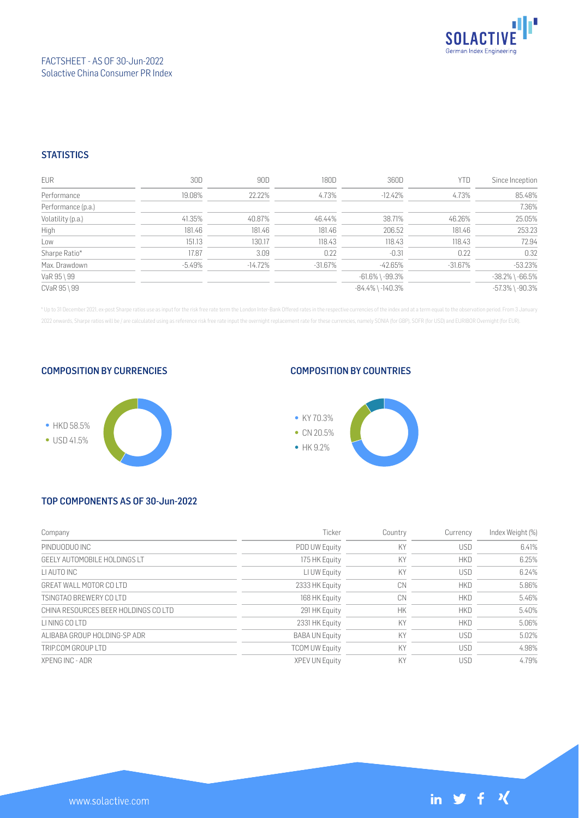

## FACTSHEET - AS OF 30-Jun-2022 Solactive China Consumer PR Index

## **STATISTICS**

| EUR                | 30D      | 90D       | 180D       | 360D                   | <b>YTD</b> | Since Inception       |
|--------------------|----------|-----------|------------|------------------------|------------|-----------------------|
| Performance        | 19.08%   | 22.22%    | 4.73%      | $-12.42%$              | 4.73%      | 85.48%                |
| Performance (p.a.) |          |           |            |                        |            | 7.36%                 |
| Volatility (p.a.)  | 41.35%   | 40.87%    | 46.44%     | 38.71%                 | 46.26%     | 25.05%                |
| High               | 181.46   | 181.46    | 181.46     | 206.52                 | 181.46     | 253.23                |
| Low                | 151.13   | 130.17    | 118.43     | 118.43                 | 118.43     | 72.94                 |
| Sharpe Ratio*      | 17.87    | 3.09      | 0.22       | $-0.31$                | 0.22       | 0.32                  |
| Max. Drawdown      | $-5.49%$ | $-14.72%$ | $-31.67\%$ | $-42.65%$              | $-31.67\%$ | $-53.23%$             |
| VaR 95 \ 99        |          |           |            | $-61.6\%$ \ $-99.3\%$  |            | $-38.2\%$ \ $-66.5\%$ |
| CVaR 95 \ 99       |          |           |            | $-84.4\%$ \ $-140.3\%$ |            | $-57.3\%$ \ $-90.3\%$ |

\* Up to 31 December 2021, ex-post Sharpe ratios use as input for the risk free rate term the London Inter-Bank Offered rates in the respective currencies of the index and at a term equal to the observation period. From 3 J 2022 onwards, Sharpe ratios will be / are calculated using as reference risk free rate input the overnight replacement rate for these currencies, namely SONIA (for GBP), SOFR (for USD) and EURIBOR Overnight (for EUR).



## COMPOSITION BY CURRENCIES

## COMPOSITION BY COUNTRIES



# TOP COMPONENTS AS OF 30-Jun-2022

| Company                              | Ticker                | Country   | Currency   | Index Weight (%) |
|--------------------------------------|-----------------------|-----------|------------|------------------|
| PINDUODUO INC                        | <b>PDD UW Equity</b>  | KY        | <b>USD</b> | 6.41%            |
| GEELY AUTOMOBILE HOLDINGS LT         | 175 HK Equity         | KY        | <b>HKD</b> | 6.25%            |
| LI AUTO INC                          | LI UW Equity          | KY        | <b>USD</b> | 6.24%            |
| GREAT WALL MOTOR COLTD               | 2333 HK Equity        | CN        | <b>HKD</b> | 5.86%            |
| TSINGTAO BREWERY COLTD               | 168 HK Equity         | CN        | <b>HKD</b> | 5.46%            |
| CHINA RESOURCES BEER HOLDINGS CO LTD | 291 HK Equity         | <b>HK</b> | <b>HKD</b> | 5.40%            |
| <b>I I NING CO I TD</b>              | 2331 HK Equity        | KY        | <b>HKD</b> | 5.06%            |
| ALIBABA GROUP HOLDING-SP ADR         | <b>BABA UN Equity</b> | KY        | <b>USD</b> | 5.02%            |
| TRIP.COM GROUP I TD                  | <b>TCOM UW Equity</b> | KY        | <b>USD</b> | 4.98%            |
| XPENG INC - ADR                      | <b>XPEV UN Equity</b> | KY        | <b>USD</b> | 4.79%            |